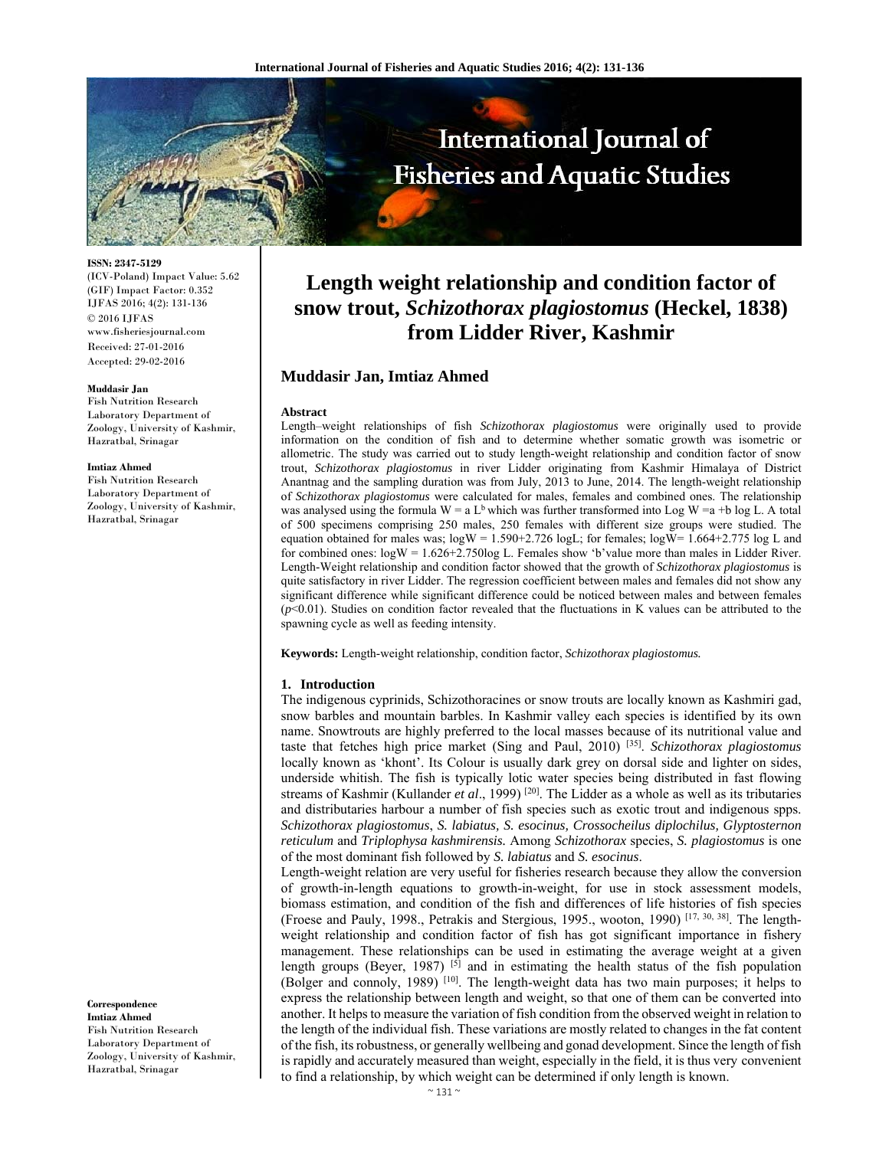

**ISSN: 2347-5129** 

(ICV-Poland) Impact Value: 5.62 (GIF) Impact Factor: 0.352 IJFAS 2016; 4(2): 131-136 © 2016 IJFAS www.fisheriesjournal.com Received: 27-01-2016 Accepted: 29-02-2016

#### **Muddasir Jan**

Fish Nutrition Research Laboratory Department of Zoology, University of Kashmir, Hazratbal, Srinagar

#### **Imtiaz Ahmed**

Fish Nutrition Research Laboratory Department of Zoology, University of Kashmir, Hazratbal, Srinagar

**Length weight relationship and condition factor of snow trout,** *Schizothorax plagiostomus* **(Heckel, 1838) from Lidder River, Kashmir**

# **Muddasir Jan, Imtiaz Ahmed**

#### **Abstract**

Length–weight relationships of fish *Schizothorax plagiostomus* were originally used to provide information on the condition of fish and to determine whether somatic growth was isometric or allometric. The study was carried out to study length-weight relationship and condition factor of snow trout, *Schizothorax plagiostomus* in river Lidder originating from Kashmir Himalaya of District Anantnag and the sampling duration was from July, 2013 to June, 2014. The length-weight relationship of *Schizothorax plagiostomus* were calculated for males, females and combined ones. The relationship was analysed using the formula  $W = a L<sup>b</sup>$  which was further transformed into Log W = a +b log L. A total of 500 specimens comprising 250 males, 250 females with different size groups were studied. The equation obtained for males was;  $\log W = 1.590 + 2.726 \log L$ ; for females;  $\log W = 1.664 + 2.775 \log L$  and for combined ones: logW = 1.626+2.750log L. Females show ʻb'value more than males in Lidder River. Length-Weight relationship and condition factor showed that the growth of *Schizothorax plagiostomus* is quite satisfactory in river Lidder. The regression coefficient between males and females did not show any significant difference while significant difference could be noticed between males and between females  $(p<0.01)$ . Studies on condition factor revealed that the fluctuations in K values can be attributed to the spawning cycle as well as feeding intensity.

**Keywords:** Length-weight relationship, condition factor, *Schizothorax plagiostomus.*

#### **1. Introduction**

The indigenous cyprinids, Schizothoracines or snow trouts are locally known as Kashmiri gad, snow barbles and mountain barbles. In Kashmir valley each species is identified by its own name. Snowtrouts are highly preferred to the local masses because of its nutritional value and taste that fetches high price market (Sing and Paul, 2010) [35]. *Schizothorax plagiostomus*  locally known as ʻkhont'. Its Colour is usually dark grey on dorsal side and lighter on sides, underside whitish. The fish is typically lotic water species being distributed in fast flowing streams of Kashmir (Kullander *et al.*, 1999)<sup>[20]</sup>. The Lidder as a whole as well as its tributaries and distributaries harbour a number of fish species such as exotic trout and indigenous spps. *Schizothorax plagiostomus*, *S. labiatus, S. esocinus, Crossocheilus diplochilus, Glyptosternon reticulum* and *Triplophysa kashmirensis.* Among *Schizothorax* species, *S. plagiostomus* is one of the most dominant fish followed by *S. labiatus* and *S. esocinus*.

Length-weight relation are very useful for fisheries research because they allow the conversion of growth-in-length equations to growth-in-weight, for use in stock assessment models, biomass estimation, and condition of the fish and differences of life histories of fish species (Froese and Pauly, 1998., Petrakis and Stergious, 1995., wooton, 1990) [17, 30, 38]. The lengthweight relationship and condition factor of fish has got significant importance in fishery management. These relationships can be used in estimating the average weight at a given length groups (Beyer, 1987)  $\left[5\right]$  and in estimating the health status of the fish population (Bolger and connoly, 1989) [10]. The length-weight data has two main purposes; it helps to express the relationship between length and weight, so that one of them can be converted into another. It helps to measure the variation of fish condition from the observed weight in relation to the length of the individual fish. These variations are mostly related to changes in the fat content of the fish, itsrobustness, or generally wellbeing and gonad development. Since the length of fish is rapidly and accurately measured than weight, especially in the field, it is thus very convenient to find a relationship, by which weight can be determined if only length is known.

**Correspondence Imtiaz Ahmed**  Fish Nutrition Research Laboratory Department of Zoology, University of Kashmir, Hazratbal, Srinagar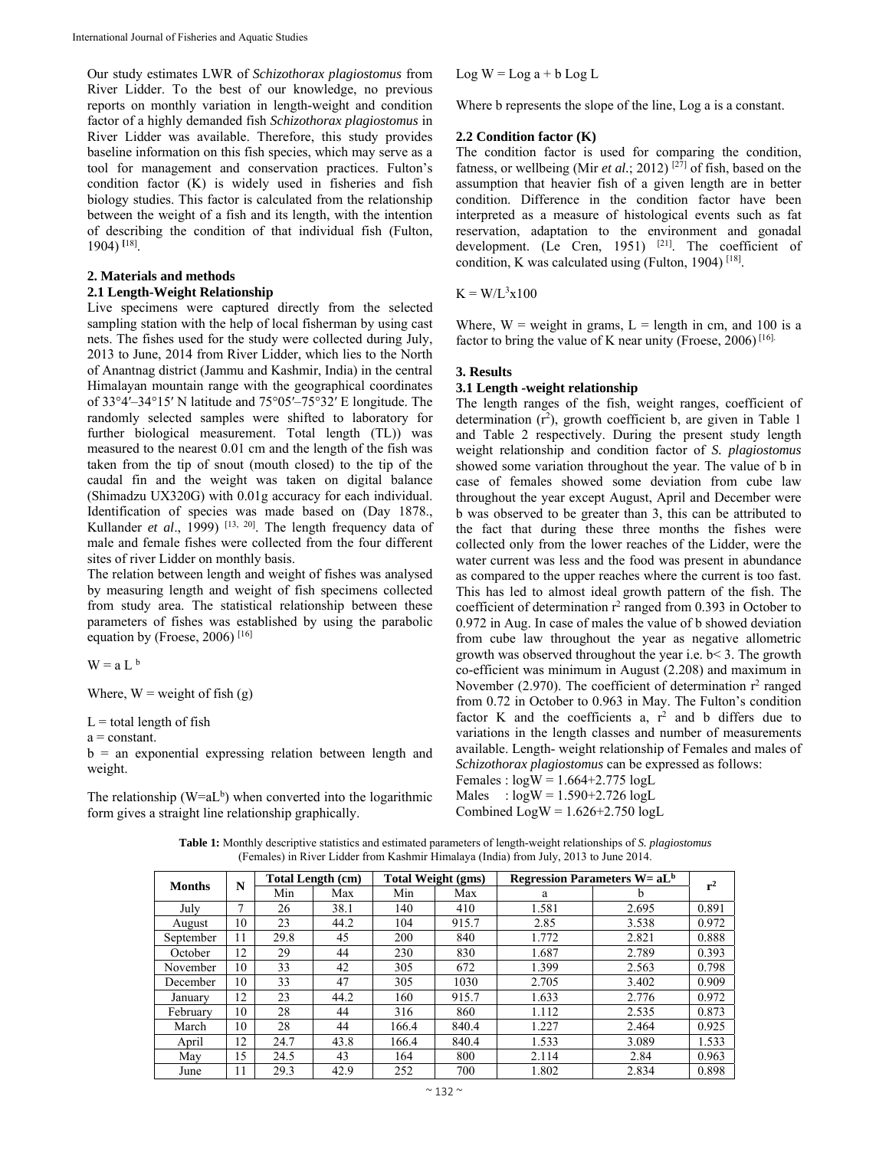Our study estimates LWR of *Schizothorax plagiostomus* from River Lidder. To the best of our knowledge, no previous reports on monthly variation in length-weight and condition factor of a highly demanded fish *Schizothorax plagiostomus* in River Lidder was available. Therefore, this study provides baseline information on this fish species, which may serve as a tool for management and conservation practices. Fulton's condition factor (K) is widely used in fisheries and fish biology studies. This factor is calculated from the relationship between the weight of a fish and its length, with the intention of describing the condition of that individual fish (Fulton, 1904) **[**18].

# **2. Materials and methods**

### **2.1 Length-Weight Relationship**

Live specimens were captured directly from the selected sampling station with the help of local fisherman by using cast nets. The fishes used for the study were collected during July, 2013 to June, 2014 from River Lidder, which lies to the North of Anantnag district (Jammu and Kashmir, India) in the central Himalayan mountain range with the geographical coordinates of 33°4′–34°15′ N latitude and 75°05′–75°32′ E longitude. The randomly selected samples were shifted to laboratory for further biological measurement. Total length (TL)) was measured to the nearest 0.01 cm and the length of the fish was taken from the tip of snout (mouth closed) to the tip of the caudal fin and the weight was taken on digital balance (Shimadzu UX320G) with 0.01g accuracy for each individual. Identification of species was made based on (Day 1878., Kullander *et al.*, 1999)<sup>[13, 20]</sup>. The length frequency data of male and female fishes were collected from the four different sites of river Lidder on monthly basis.

The relation between length and weight of fishes was analysed by measuring length and weight of fish specimens collected from study area. The statistical relationship between these parameters of fishes was established by using the parabolic equation by (Froese, 2006)  $[16]$ 

 $W = a L<sup>b</sup>$ 

Where,  $W = weight of fish(g)$ 

 $L =$  total length of fish

 $a = constant$ .

 $b =$  an exponential expressing relation between length and weight.

The relationship ( $W=aL<sup>b</sup>$ ) when converted into the logarithmic form gives a straight line relationship graphically.

 $Log W = Log a + b Log L$ 

Where b represents the slope of the line, Log a is a constant.

### **2.2 Condition factor (K)**

The condition factor is used for comparing the condition, fatness, or wellbeing (Mir *et al.*; 2012)<sup>[27]</sup> of fish, based on the assumption that heavier fish of a given length are in better condition. Difference in the condition factor have been interpreted as a measure of histological events such as fat reservation, adaptation to the environment and gonadal development. (Le Cren, 1951) <sup>[21]</sup>. The coefficient of condition, K was calculated using (Fulton, 1904)<sup>[18]</sup>.

 $K = W/L^3x100$ 

Where,  $W =$  weight in grams,  $L =$  length in cm, and 100 is a factor to bring the value of K near unity (Froese,  $2006$ )<sup>[16].</sup>

### **3. Results**

# **3.1 Length -weight relationship**

The length ranges of the fish, weight ranges, coefficient of determination  $(r^2)$ , growth coefficient b, are given in Table 1 and Table 2 respectively. During the present study length weight relationship and condition factor of *S. plagiostomus* showed some variation throughout the year. The value of b in case of females showed some deviation from cube law throughout the year except August, April and December were b was observed to be greater than 3, this can be attributed to the fact that during these three months the fishes were collected only from the lower reaches of the Lidder, were the water current was less and the food was present in abundance as compared to the upper reaches where the current is too fast. This has led to almost ideal growth pattern of the fish. The coefficient of determination  $r^2$  ranged from 0.393 in October to 0.972 in Aug. In case of males the value of b showed deviation from cube law throughout the year as negative allometric growth was observed throughout the year i.e. b< 3. The growth co-efficient was minimum in August (2.208) and maximum in November (2.970). The coefficient of determination  $r^2$  ranged from 0.72 in October to 0.963 in May. The Fulton's condition factor K and the coefficients a,  $r^2$  and b differs due to variations in the length classes and number of measurements available. Length- weight relationship of Females and males of *Schizothorax plagiostomus* can be expressed as follows: Females :  $log W = 1.664 + 2.775 log L$ 

Males :  $log W = 1.590 + 2.726 log L$ 

Combined  $Log W = 1.626 + 2.750 log L$ 

**Table 1:** Monthly descriptive statistics and estimated parameters of length-weight relationships of *S. plagiostomus* (Females) in River Lidder from Kashmir Himalaya (India) from July, 2013 to June 2014.

| <b>Months</b> | N  | <b>Total Length (cm)</b> |      | <b>Total Weight (gms)</b> |       | <b>Regression Parameters W= <math>aL^b</math></b> |       | $r^2$ |
|---------------|----|--------------------------|------|---------------------------|-------|---------------------------------------------------|-------|-------|
|               |    | Min                      | Max  | Min                       | Max   | a                                                 | b     |       |
| July          | ⇁  | 26                       | 38.1 | 140                       | 410   | 1.581                                             | 2.695 | 0.891 |
| August        | 10 | 23                       | 44.2 | 104                       | 915.7 | 2.85                                              | 3.538 | 0.972 |
| September     | 11 | 29.8                     | 45   | 200                       | 840   | 1.772                                             | 2.821 | 0.888 |
| October       | 12 | 29                       | 44   | 230                       | 830   | 1.687                                             | 2.789 | 0.393 |
| November      | 10 | 33                       | 42   | 305                       | 672   | 1.399                                             | 2.563 | 0.798 |
| December      | 10 | 33                       | 47   | 305                       | 1030  | 2.705                                             | 3.402 | 0.909 |
| January       | 12 | 23                       | 44.2 | 160                       | 915.7 | 1.633                                             | 2.776 | 0.972 |
| February      | 10 | 28                       | 44   | 316                       | 860   | 1.112                                             | 2.535 | 0.873 |
| March         | 10 | 28                       | 44   | 166.4                     | 840.4 | 1.227                                             | 2.464 | 0.925 |
| April         | 12 | 24.7                     | 43.8 | 166.4                     | 840.4 | 1.533                                             | 3.089 | 1.533 |
| May           | 15 | 24.5                     | 43   | 164                       | 800   | 2.114                                             | 2.84  | 0.963 |
| June          | 11 | 29.3                     | 42.9 | 252                       | 700   | 1.802                                             | 2.834 | 0.898 |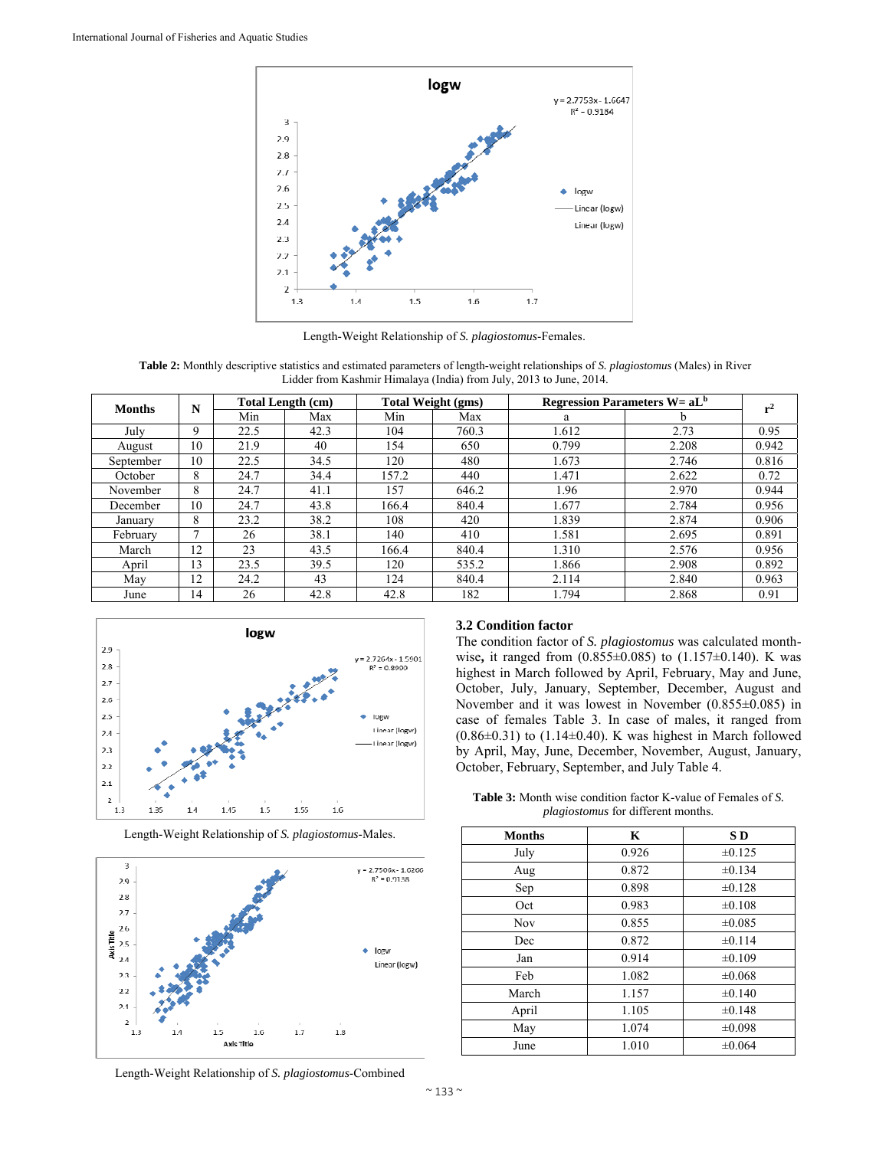

Length-Weight Relationship of *S. plagiostomus*-Females.

**Table 2:** Monthly descriptive statistics and estimated parameters of length-weight relationships of *S. plagiostomus* (Males) in River Lidder from Kashmir Himalaya (India) from July, 2013 to June, 2014.

| <b>Months</b> | N  | <b>Total Length (cm)</b> |      | <b>Total Weight (gms)</b> |       | <b>Regression Parameters W= <math>aL^b</math></b> |       | $r^2$ |
|---------------|----|--------------------------|------|---------------------------|-------|---------------------------------------------------|-------|-------|
|               |    | Min                      | Max  | Min                       | Max   | a                                                 | b     |       |
| July          | 9  | 22.5                     | 42.3 | 104                       | 760.3 | 1.612                                             | 2.73  | 0.95  |
| August        | 10 | 21.9                     | 40   | 154                       | 650   | 0.799                                             | 2.208 | 0.942 |
| September     | 10 | 22.5                     | 34.5 | 120                       | 480   | 1.673                                             | 2.746 | 0.816 |
| October       | 8  | 24.7                     | 34.4 | 157.2                     | 440   | 1.471                                             | 2.622 | 0.72  |
| November      | 8  | 24.7                     | 41.1 | 157                       | 646.2 | 1.96                                              | 2.970 | 0.944 |
| December      | 10 | 24.7                     | 43.8 | 166.4                     | 840.4 | 1.677                                             | 2.784 | 0.956 |
| January       | 8  | 23.2                     | 38.2 | 108                       | 420   | 1.839                                             | 2.874 | 0.906 |
| February      | ⇁  | 26                       | 38.1 | 140                       | 410   | 1.581                                             | 2.695 | 0.891 |
| March         | 12 | 23                       | 43.5 | 166.4                     | 840.4 | 1.310                                             | 2.576 | 0.956 |
| April         | 13 | 23.5                     | 39.5 | 120                       | 535.2 | 1.866                                             | 2.908 | 0.892 |
| May           | 12 | 24.2                     | 43   | 124                       | 840.4 | 2.114                                             | 2.840 | 0.963 |
| June          | 14 | 26                       | 42.8 | 42.8                      | 182   | 1.794                                             | 2.868 | 0.91  |



Length-Weight Relationship of *S. plagiostomus*-Males.



# **3.2 Condition factor**

The condition factor of *S. plagiostomus* was calculated monthwise**,** it ranged from (0.855±0.085) to (1.157±0.140). K was highest in March followed by April, February, May and June, October, July, January, September, December, August and November and it was lowest in November (0.855±0.085) in case of females Table 3. In case of males, it ranged from  $(0.86\pm0.31)$  to  $(1.14\pm0.40)$ . K was highest in March followed by April, May, June, December, November, August, January, October, February, September, and July Table 4.

**Table 3:** Month wise condition factor K-value of Females of *S. plagiostomus* for different months.

| <b>Months</b> | K     | SD          |
|---------------|-------|-------------|
| July          | 0.926 | $\pm 0.125$ |
| Aug           | 0.872 | ±0.134      |
| Sep           | 0.898 | $\pm 0.128$ |
| Oct           | 0.983 | $\pm 0.108$ |
| Nov           | 0.855 | $\pm 0.085$ |
| Dec           | 0.872 | $\pm 0.114$ |
| Jan           | 0.914 | ±0.109      |
| Feb           | 1.082 | ±0.068      |
| March         | 1.157 | $\pm 0.140$ |
| April         | 1.105 | $\pm 0.148$ |
| May           | 1.074 | ±0.098      |
| June          | 1.010 | $\pm 0.064$ |

Length-Weight Relationship of *S. plagiostomus*-Combined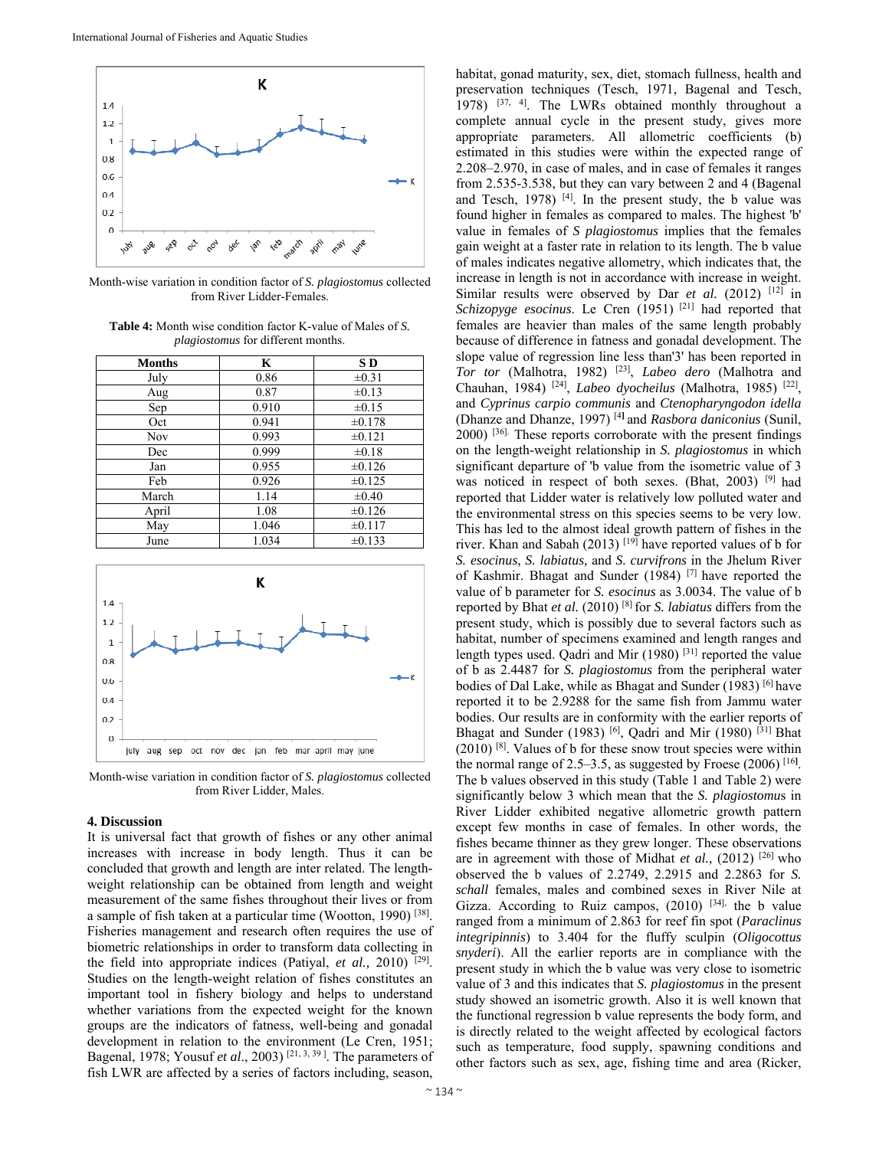

Month-wise variation in condition factor of *S. plagiostomus* collected from River Lidder-Females.

| <b>Table 4:</b> Month wise condition factor K-value of Males of S. |
|--------------------------------------------------------------------|
| <i>plagiostomus</i> for different months.                          |

| <b>Months</b> | K     | S D         |
|---------------|-------|-------------|
| July          | 0.86  | $\pm 0.31$  |
| Aug           | 0.87  | $\pm 0.13$  |
| Sep           | 0.910 | $\pm 0.15$  |
| Oct           | 0.941 | $\pm 0.178$ |
| Nov           | 0.993 | $\pm 0.121$ |
| Dec           | 0.999 | $\pm 0.18$  |
| Jan           | 0.955 | $\pm 0.126$ |
| Feb           | 0.926 | $\pm 0.125$ |
| March         | 1.14  | $\pm 0.40$  |
| April         | 1.08  | $\pm 0.126$ |
| May           | 1.046 | $\pm 0.117$ |
| June          | 1.034 | $\pm 0.133$ |



Month-wise variation in condition factor of *S. plagiostomus* collected from River Lidder, Males.

### **4. Discussion**

It is universal fact that growth of fishes or any other animal increases with increase in body length. Thus it can be concluded that growth and length are inter related. The lengthweight relationship can be obtained from length and weight measurement of the same fishes throughout their lives or from a sample of fish taken at a particular time (Wootton, 1990) [38]. Fisheries management and research often requires the use of biometric relationships in order to transform data collecting in the field into appropriate indices (Patiyal, *et al.,* 2010) [29]. Studies on the length-weight relation of fishes constitutes an important tool in fishery biology and helps to understand whether variations from the expected weight for the known groups are the indicators of fatness, well-being and gonadal development in relation to the environment (Le Cren, 1951; Bagenal, 1978; Yousuf *et al*., 2003) [21, 3, 39 ]. The parameters of fish LWR are affected by a series of factors including, season,

habitat, gonad maturity, sex, diet, stomach fullness, health and preservation techniques (Tesch, 1971, Bagenal and Tesch, 1978)  $[37, 4]$ . The LWRs obtained monthly throughout a complete annual cycle in the present study, gives more appropriate parameters. All allometric coefficients (b) estimated in this studies were within the expected range of 2.208–2.970, in case of males, and in case of females it ranges from 2.535-3.538, but they can vary between 2 and 4 (Bagenal and Tesch, 1978)  $[4]$ . In the present study, the b value was found higher in females as compared to males. The highest 'b' value in females of *S plagiostomus* implies that the females gain weight at a faster rate in relation to its length. The b value of males indicates negative allometry, which indicates that, the increase in length is not in accordance with increase in weight. Similar results were observed by Dar *et al.* (2012) <sup>[12]</sup> in *Schizopyge esocinus*. Le Cren (1951) [21] had reported that females are heavier than males of the same length probably because of difference in fatness and gonadal development. The slope value of regression line less than'3' has been reported in *Tor tor* (Malhotra, 1982) [23], *Labeo dero* (Malhotra and Chauhan, 1984) [24], *Labeo dyocheilus* (Malhotra, 1985) [22], and *Cyprinus carpio communis* and *Ctenopharyngodon idella*  (Dhanze and Dhanze, 1997) [4**]** and *Rasbora daniconius* (Sunil, 2000) [36]. These reports corroborate with the present findings on the length-weight relationship in *S. plagiostomus* in which significant departure of 'b value from the isometric value of 3 was noticed in respect of both sexes. (Bhat, 2003) <sup>[9]</sup> had reported that Lidder water is relatively low polluted water and the environmental stress on this species seems to be very low. This has led to the almost ideal growth pattern of fishes in the river. Khan and Sabah (2013) [19] have reported values of b for *S. esocinus, S. labiatus,* and *S. curvifrons* in the Jhelum River of Kashmir. Bhagat and Sunder (1984) [7] have reported the value of b parameter for *S. esocinus* as 3.0034. The value of b reported by Bhat *et al.* (2010) [8] for *S. labiatus* differs from the present study, which is possibly due to several factors such as habitat, number of specimens examined and length ranges and length types used. Qadri and Mir  $(1980)$ <sup>[31]</sup> reported the value of b as 2.4487 for *S. plagiostomus* from the peripheral water bodies of Dal Lake, while as Bhagat and Sunder (1983) [6] have reported it to be 2.9288 for the same fish from Jammu water bodies. Our results are in conformity with the earlier reports of Bhagat and Sunder (1983)<sup>[6]</sup>, Qadri and Mir (1980)<sup>[31]</sup> Bhat (2010) [8]. Values of b for these snow trout species were within the normal range of 2.5–3.5, as suggested by Froese (2006) [16**]** . The b values observed in this study (Table 1 and Table 2) were significantly below 3 which mean that the *S. plagiostomu*s in River Lidder exhibited negative allometric growth pattern except few months in case of females. In other words, the fishes became thinner as they grew longer. These observations are in agreement with those of Midhat *et al.,* (2012) [26] who observed the b values of 2.2749, 2.2915 and 2.2863 for *S. schall* females, males and combined sexes in River Nile at Gizza. According to Ruiz campos,  $(2010)$  <sup>[34],</sup> the b value ranged from a minimum of 2.863 for reef fin spot (*Paraclinus integripinnis*) to 3.404 for the fluffy sculpin (*Oligocottus snyderi*). All the earlier reports are in compliance with the present study in which the b value was very close to isometric value of 3 and this indicates that *S. plagiostomus* in the present study showed an isometric growth. Also it is well known that the functional regression b value represents the body form, and is directly related to the weight affected by ecological factors such as temperature, food supply, spawning conditions and other factors such as sex, age, fishing time and area (Ricker,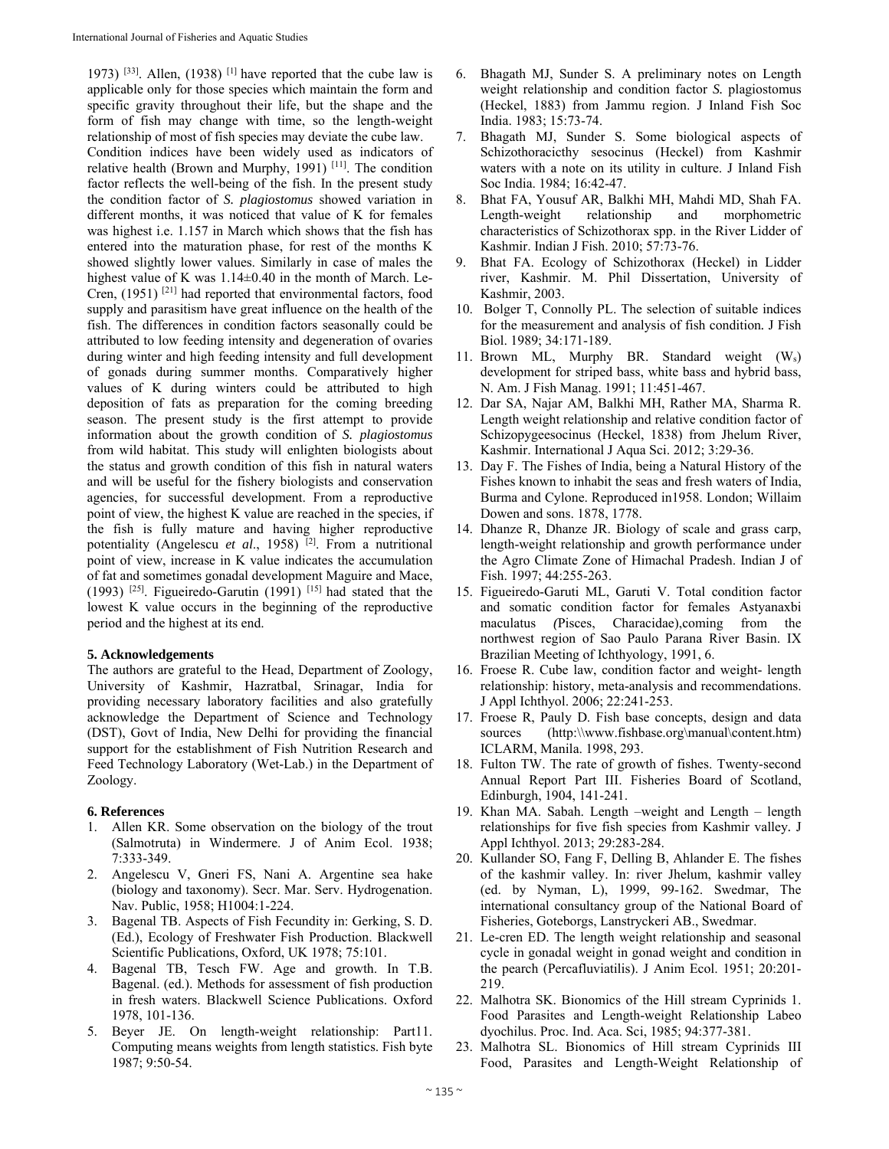1973)  $[33]$ . Allen, (1938)  $[1]$  have reported that the cube law is applicable only for those species which maintain the form and specific gravity throughout their life, but the shape and the form of fish may change with time, so the length-weight relationship of most of fish species may deviate the cube law. Condition indices have been widely used as indicators of relative health (Brown and Murphy, 1991)  $[11]$ . The condition factor reflects the well-being of the fish. In the present study the condition factor of *S. plagiostomus* showed variation in different months, it was noticed that value of K for females was highest i.e. 1.157 in March which shows that the fish has entered into the maturation phase, for rest of the months K showed slightly lower values. Similarly in case of males the highest value of K was  $1.14\pm0.40$  in the month of March. Le-Cren, (1951) [21] had reported that environmental factors, food supply and parasitism have great influence on the health of the fish. The differences in condition factors seasonally could be attributed to low feeding intensity and degeneration of ovaries during winter and high feeding intensity and full development of gonads during summer months. Comparatively higher values of K during winters could be attributed to high deposition of fats as preparation for the coming breeding season. The present study is the first attempt to provide information about the growth condition of *S. plagiostomus*  from wild habitat. This study will enlighten biologists about the status and growth condition of this fish in natural waters and will be useful for the fishery biologists and conservation agencies, for successful development. From a reproductive point of view, the highest K value are reached in the species, if the fish is fully mature and having higher reproductive potentiality (Angelescu *et al*., 1958) [2]. From a nutritional point of view, increase in K value indicates the accumulation of fat and sometimes gonadal development Maguire and Mace, (1993) <sup>[25]</sup>. Figueiredo-Garutin (1991) <sup>[15]</sup> had stated that the lowest K value occurs in the beginning of the reproductive period and the highest at its end.

# **5. Acknowledgements**

The authors are grateful to the Head, Department of Zoology, University of Kashmir, Hazratbal, Srinagar, India for providing necessary laboratory facilities and also gratefully acknowledge the Department of Science and Technology (DST), Govt of India, New Delhi for providing the financial support for the establishment of Fish Nutrition Research and Feed Technology Laboratory (Wet-Lab.) in the Department of Zoology.

# **6. References**

- 1. Allen KR. Some observation on the biology of the trout (Salmotruta) in Windermere. J of Anim Ecol. 1938; 7:333-349.
- 2. Angelescu V, Gneri FS, Nani A. Argentine sea hake (biology and taxonomy). Secr. Mar. Serv. Hydrogenation. Nav. Public, 1958; H1004:1-224.
- 3. Bagenal TB. Aspects of Fish Fecundity in: Gerking, S. D. (Ed.), Ecology of Freshwater Fish Production. Blackwell Scientific Publications, Oxford, UK 1978; 75:101.
- 4. Bagenal TB, Tesch FW. Age and growth. In T.B. Bagenal. (ed.). Methods for assessment of fish production in fresh waters. Blackwell Science Publications. Oxford 1978, 101-136.
- 5. Beyer JE. On length-weight relationship: Part11. Computing means weights from length statistics. Fish byte 1987; 9:50-54.
- 6. Bhagath MJ, Sunder S. A preliminary notes on Length weight relationship and condition factor *S.* plagiostomus (Heckel, 1883) from Jammu region. J Inland Fish Soc India. 1983; 15:73-74.
- 7. Bhagath MJ, Sunder S. Some biological aspects of Schizothoracicthy sesocinus (Heckel) from Kashmir waters with a note on its utility in culture. J Inland Fish Soc India. 1984; 16:42-47.
- 8. Bhat FA, Yousuf AR, Balkhi MH, Mahdi MD, Shah FA. Length-weight relationship and morphometric characteristics of Schizothorax spp. in the River Lidder of Kashmir. Indian J Fish. 2010; 57:73-76.
- 9. Bhat FA. Ecology of Schizothorax (Heckel) in Lidder river, Kashmir. M. Phil Dissertation, University of Kashmir, 2003.
- 10. Bolger T, Connolly PL. The selection of suitable indices for the measurement and analysis of fish condition*.* J Fish Biol. 1989; 34:171-189.
- 11. Brown ML, Murphy BR. Standard weight (Ws) development for striped bass, white bass and hybrid bass, N. Am. J Fish Manag. 1991; 11:451-467.
- 12. Dar SA, Najar AM, Balkhi MH, Rather MA, Sharma R. Length weight relationship and relative condition factor of Schizopygeesocinus (Heckel, 1838) from Jhelum River, Kashmir. International J Aqua Sci. 2012; 3:29-36.
- 13. Day F. The Fishes of India, being a Natural History of the Fishes known to inhabit the seas and fresh waters of India, Burma and Cylone. Reproduced in1958. London; Willaim Dowen and sons. 1878, 1778.
- 14. Dhanze R, Dhanze JR. Biology of scale and grass carp, length-weight relationship and growth performance under the Agro Climate Zone of Himachal Pradesh. Indian J of Fish. 1997; 44:255-263.
- 15. Figueiredo-Garuti ML, Garuti V. Total condition factor and somatic condition factor for females Astyanaxbi maculatus *(*Pisces, Characidae),coming from the northwest region of Sao Paulo Parana River Basin. IX Brazilian Meeting of Ichthyology, 1991, 6.
- 16. Froese R. Cube law, condition factor and weight- length relationship: history, meta-analysis and recommendations. J Appl Ichthyol. 2006; 22:241-253.
- 17. Froese R, Pauly D. Fish base concepts, design and data sources (http:\\www.fishbase.org\manual\content.htm) ICLARM, Manila. 1998, 293.
- 18. Fulton TW. The rate of growth of fishes. Twenty-second Annual Report Part III. Fisheries Board of Scotland, Edinburgh, 1904, 141-241.
- 19. Khan MA. Sabah. Length –weight and Length length relationships for five fish species from Kashmir valley*.* J Appl Ichthyol. 2013; 29:283-284.
- 20. Kullander SO, Fang F, Delling B, Ahlander E. The fishes of the kashmir valley. In: river Jhelum, kashmir valley (ed. by Nyman, L), 1999, 99-162. Swedmar, The international consultancy group of the National Board of Fisheries, Goteborgs, Lanstryckeri AB., Swedmar.
- 21. Le-cren ED. The length weight relationship and seasonal cycle in gonadal weight in gonad weight and condition in the pearch (Percafluviatilis). J Anim Ecol. 1951; 20:201- 219.
- 22. Malhotra SK. Bionomics of the Hill stream Cyprinids 1. Food Parasites and Length-weight Relationship Labeo dyochilus. Proc. Ind. Aca. Sci, 1985; 94:377-381.
- 23. Malhotra SL. Bionomics of Hill stream Cyprinids III Food, Parasites and Length-Weight Relationship of